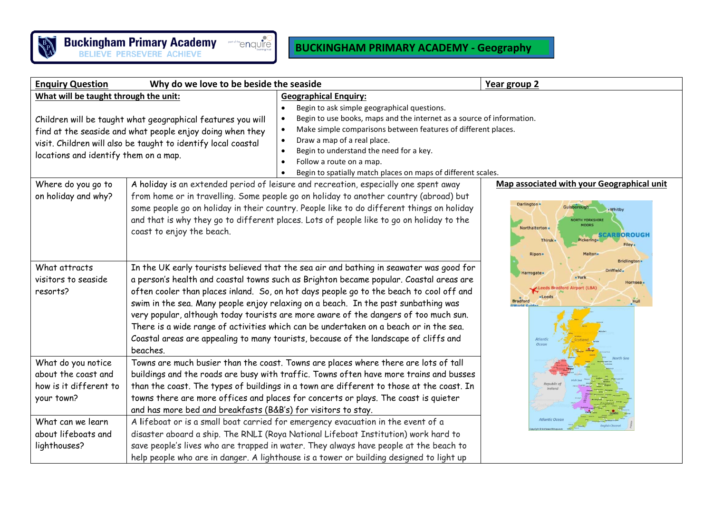

## **BUCKINGHAM PRIMARY ACADEMY - Geography**

| Why do we love to be beside the seaside<br><b>Enquiry Question</b>                                                                                                                                                                                                          |                                                                                                                                                                                                                                                                                                                                                                                                                                                                                                                                                                                                                                                                                                                                                                                                                                                                                                                                                                                                                                                                |                                                                                                                                                                                                                                                                                                                                                                                             | Year group 2                                                                                                                                                                                                                                                                                                                                 |
|-----------------------------------------------------------------------------------------------------------------------------------------------------------------------------------------------------------------------------------------------------------------------------|----------------------------------------------------------------------------------------------------------------------------------------------------------------------------------------------------------------------------------------------------------------------------------------------------------------------------------------------------------------------------------------------------------------------------------------------------------------------------------------------------------------------------------------------------------------------------------------------------------------------------------------------------------------------------------------------------------------------------------------------------------------------------------------------------------------------------------------------------------------------------------------------------------------------------------------------------------------------------------------------------------------------------------------------------------------|---------------------------------------------------------------------------------------------------------------------------------------------------------------------------------------------------------------------------------------------------------------------------------------------------------------------------------------------------------------------------------------------|----------------------------------------------------------------------------------------------------------------------------------------------------------------------------------------------------------------------------------------------------------------------------------------------------------------------------------------------|
| What will be taught through the unit:<br>Children will be taught what geographical features you will<br>find at the seaside and what people enjoy doing when they<br>visit. Children will also be taught to identify local coastal<br>locations and identify them on a map. |                                                                                                                                                                                                                                                                                                                                                                                                                                                                                                                                                                                                                                                                                                                                                                                                                                                                                                                                                                                                                                                                | <b>Geographical Enquiry:</b><br>Begin to ask simple geographical questions.<br>Begin to use books, maps and the internet as a source of information.<br>Make simple comparisons between features of different places.<br>Draw a map of a real place.<br>Begin to understand the need for a key.<br>Follow a route on a map.<br>Begin to spatially match places on maps of different scales. |                                                                                                                                                                                                                                                                                                                                              |
| Where do you go to<br>on holiday and why?                                                                                                                                                                                                                                   | A holiday is an extended period of leisure and recreation, especially one spent away<br>from home or in travelling. Some people go on holiday to another country (abroad) but<br>some people go on holiday in their country. People like to do different things on holiday<br>and that is why they go to different places. Lots of people like to go on holiday to the<br>coast to enjoy the beach.<br>In the UK early tourists believed that the sea air and bathing in seawater was good for<br>a person's health and coastal towns such as Brighton became popular. Coastal areas are<br>often cooler than places inland. So, on hot days people go to the beach to cool off and<br>swim in the sea. Many people enjoy relaxing on a beach. In the past sunbathing was<br>very popular, although today tourists are more aware of the dangers of too much sun.<br>There is a wide range of activities which can be undertaken on a beach or in the sea.<br>Coastal areas are appealing to many tourists, because of the landscape of cliffs and<br>beaches. |                                                                                                                                                                                                                                                                                                                                                                                             | Map associated with your Geographical unit<br>Darlington .<br>Whitby<br><b>NORTH YORKSHIP</b><br>Northalterton<br>CARBOROUGH<br><b>Thirsk</b><br><b>Pickerin</b><br>Filey <sub>s</sub><br>Ripon<br><b>Bridlington</b><br><b>Harrogate</b><br>= York<br>Hornsea<br>CLeeds Bradford Airport (LB<br><b>Bradford</b><br>Hull<br>Atlanti<br>Ocear |
| What attracts<br>visitors to seaside<br>resorts?                                                                                                                                                                                                                            |                                                                                                                                                                                                                                                                                                                                                                                                                                                                                                                                                                                                                                                                                                                                                                                                                                                                                                                                                                                                                                                                |                                                                                                                                                                                                                                                                                                                                                                                             |                                                                                                                                                                                                                                                                                                                                              |
| What do you notice<br>about the coast and<br>how is it different to<br>your town?                                                                                                                                                                                           | Towns are much busier than the coast. Towns are places where there are lots of tall<br>buildings and the roads are busy with traffic. Towns often have more trains and busses<br>than the coast. The types of buildings in a town are different to those at the coast. In<br>towns there are more offices and places for concerts or plays. The coast is quieter<br>and has more bed and breakfasts (B&B's) for visitors to stay.                                                                                                                                                                                                                                                                                                                                                                                                                                                                                                                                                                                                                              |                                                                                                                                                                                                                                                                                                                                                                                             |                                                                                                                                                                                                                                                                                                                                              |
| What can we learn<br>about lifeboats and<br>lighthouses?                                                                                                                                                                                                                    | Atlantic Ocea<br>A lifeboat or is a small boat carried for emergency evacuation in the event of a<br>disaster aboard a ship. The RNLI (Roya National Lifeboat Institution) work hard to<br>save people's lives who are trapped in water. They always have people at the beach to<br>help people who are in danger. A lighthouse is a tower or building designed to light up                                                                                                                                                                                                                                                                                                                                                                                                                                                                                                                                                                                                                                                                                    |                                                                                                                                                                                                                                                                                                                                                                                             |                                                                                                                                                                                                                                                                                                                                              |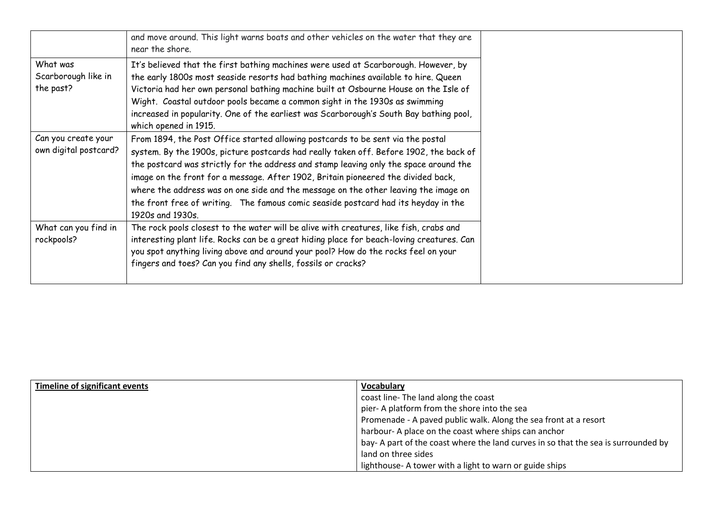|                                              | and move around. This light warns boats and other vehicles on the water that they are<br>near the shore.                                                                                                                                                                                                                                                                                                                                                                                                                                                 |
|----------------------------------------------|----------------------------------------------------------------------------------------------------------------------------------------------------------------------------------------------------------------------------------------------------------------------------------------------------------------------------------------------------------------------------------------------------------------------------------------------------------------------------------------------------------------------------------------------------------|
| What was<br>Scarborough like in<br>the past? | It's believed that the first bathing machines were used at Scarborough. However, by<br>the early 1800s most seaside resorts had bathing machines available to hire. Queen<br>Victoria had her own personal bathing machine built at Osbourne House on the Isle of<br>Wight. Coastal outdoor pools became a common sight in the 1930s as swimming<br>increased in popularity. One of the earliest was Scarborough's South Bay bathing pool,<br>which opened in 1915.                                                                                      |
| Can you create your<br>own digital postcard? | From 1894, the Post Office started allowing postcards to be sent via the postal<br>system. By the 1900s, picture postcards had really taken off. Before 1902, the back of<br>the postcard was strictly for the address and stamp leaving only the space around the<br>image on the front for a message. After 1902, Britain pioneered the divided back,<br>where the address was on one side and the message on the other leaving the image on<br>the front free of writing. The famous comic seaside postcard had its heyday in the<br>1920s and 1930s. |
| What can you find in<br>rockpools?           | The rock pools closest to the water will be alive with creatures, like fish, crabs and<br>interesting plant life. Rocks can be a great hiding place for beach-loving creatures. Can<br>you spot anything living above and around your pool? How do the rocks feel on your<br>fingers and toes? Can you find any shells, fossils or cracks?                                                                                                                                                                                                               |

| <b>Timeline of significant events</b> | <b>Vocabulary</b>                                                                  |  |
|---------------------------------------|------------------------------------------------------------------------------------|--|
|                                       | coast line-The land along the coast                                                |  |
|                                       | pier- A platform from the shore into the sea                                       |  |
|                                       | Promenade - A paved public walk. Along the sea front at a resort                   |  |
|                                       | harbour- A place on the coast where ships can anchor                               |  |
|                                       | bay- A part of the coast where the land curves in so that the sea is surrounded by |  |
|                                       | land on three sides                                                                |  |
|                                       | lighthouse- A tower with a light to warn or guide ships                            |  |